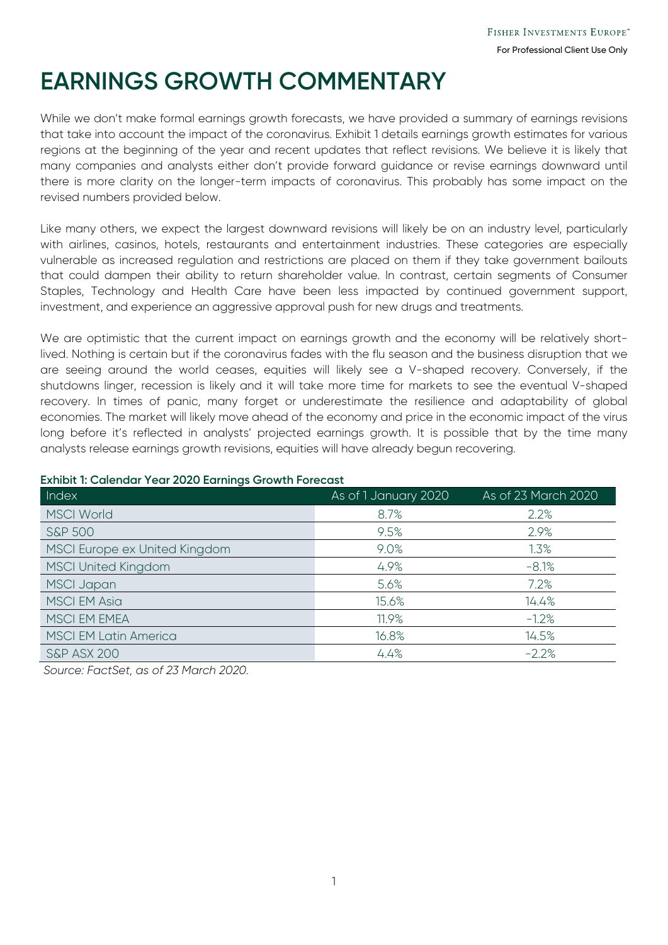## **EARNINGS GROWTH COMMENTARY**

While we don't make formal earnings growth forecasts, we have provided a summary of earnings revisions that take into account the impact of the coronavirus. Exhibit 1 details earnings growth estimates for various regions at the beginning of the year and recent updates that reflect revisions. We believe it is likely that many companies and analysts either don't provide forward guidance or revise earnings downward until there is more clarity on the longer-term impacts of coronavirus. This probably has some impact on the revised numbers provided below.

Like many others, we expect the largest downward revisions will likely be on an industry level, particularly with airlines, casinos, hotels, restaurants and entertainment industries. These categories are especially vulnerable as increased regulation and restrictions are placed on them if they take government bailouts that could dampen their ability to return shareholder value. In contrast, certain segments of Consumer Staples, Technology and Health Care have been less impacted by continued government support, investment, and experience an aggressive approval push for new drugs and treatments.

We are optimistic that the current impact on earnings growth and the economy will be relatively shortlived. Nothing is certain but if the coronavirus fades with the flu season and the business disruption that we are seeing around the world ceases, equities will likely see a V-shaped recovery. Conversely, if the shutdowns linger, recession is likely and it will take more time for markets to see the eventual V-shaped recovery. In times of panic, many forget or underestimate the resilience and adaptability of global economies. The market will likely move ahead of the economy and price in the economic impact of the virus long before it's reflected in analysts' projected earnings growth. It is possible that by the time many analysts release earnings growth revisions, equities will have already begun recovering.

| Index                         | As of 1 January 2020 | As of 23 March 2020 |
|-------------------------------|----------------------|---------------------|
| <b>MSCI World</b>             | 8.7%                 | 2.2%                |
| <b>S&amp;P 500</b>            | 9.5%                 | 2.9%                |
| MSCI Europe ex United Kingdom | 9.0%                 | 1.3%                |
| <b>MSCI United Kingdom</b>    | 4.9%                 | $-8.1%$             |
| <b>MSCI Japan</b>             | 5.6%                 | 7.2%                |
| <b>MSCI EM Asia</b>           | 15.6%                | 14.4%               |
| MSCI EM EMEA                  | 11.9%                | $-1.2%$             |
| <b>MSCI EM Latin America</b>  | 16.8%                | 14.5%               |
| <b>S&amp;P ASX 200</b>        | 4.4%                 | $-2.2%$             |

## **Exhibit 1: Calendar Year 2020 Earnings Growth Forecast**

*Source: FactSet, as of 23 March 2020.*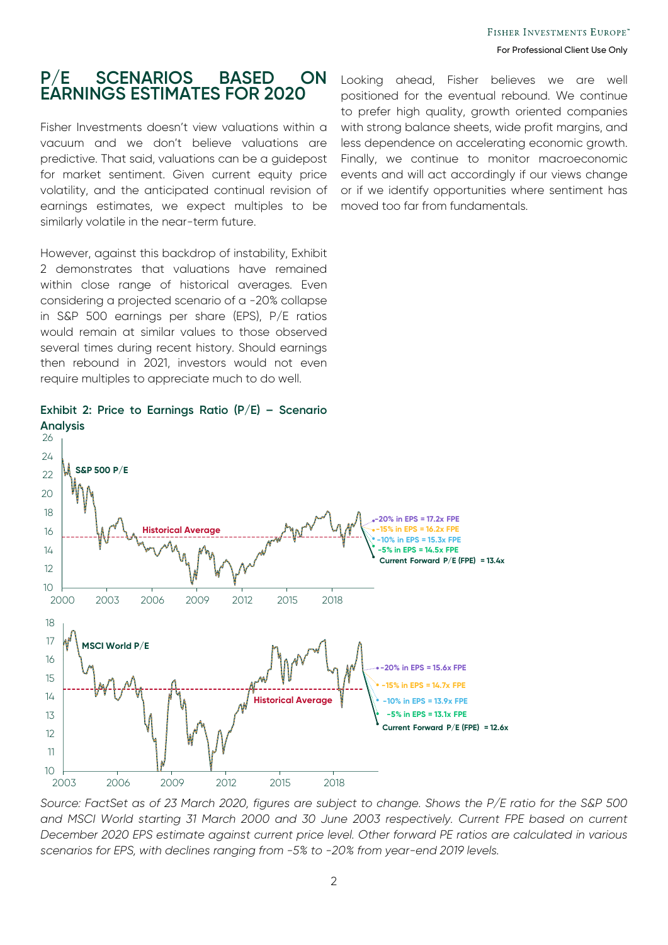## **P/E SCENARIOS BASED ON EARNINGS ESTIMATES FOR 2020**

Fisher Investments doesn't view valuations within a vacuum and we don't believe valuations are predictive. That said, valuations can be a guidepost for market sentiment. Given current equity price volatility, and the anticipated continual revision of earnings estimates, we expect multiples to be similarly volatile in the near-term future.

However, against this backdrop of instability, Exhibit 2 demonstrates that valuations have remained within close range of historical averages. Even considering a projected scenario of a -20% collapse in S&P 500 earnings per share (EPS), P/E ratios would remain at similar values to those observed several times during recent history. Should earnings then rebound in 2021, investors would not even require multiples to appreciate much to do well.

Looking ahead, Fisher believes we are well positioned for the eventual rebound. We continue to prefer high quality, growth oriented companies with strong balance sheets, wide profit margins, and less dependence on accelerating economic growth. Finally, we continue to monitor macroeconomic events and will act accordingly if our views change or if we identify opportunities where sentiment has moved too far from fundamentals.



**Exhibit 2: Price to Earnings Ratio (P/E) – Scenario Analysis**

*Source: FactSet as of 23 March 2020, figures are subject to change. Shows the P/E ratio for the S&P 500 and MSCI World starting 31 March 2000 and 30 June 2003 respectively. Current FPE based on current December 2020 EPS estimate against current price level. Other forward PE ratios are calculated in various scenarios for EPS, with declines ranging from -5% to -20% from year-end 2019 levels.*